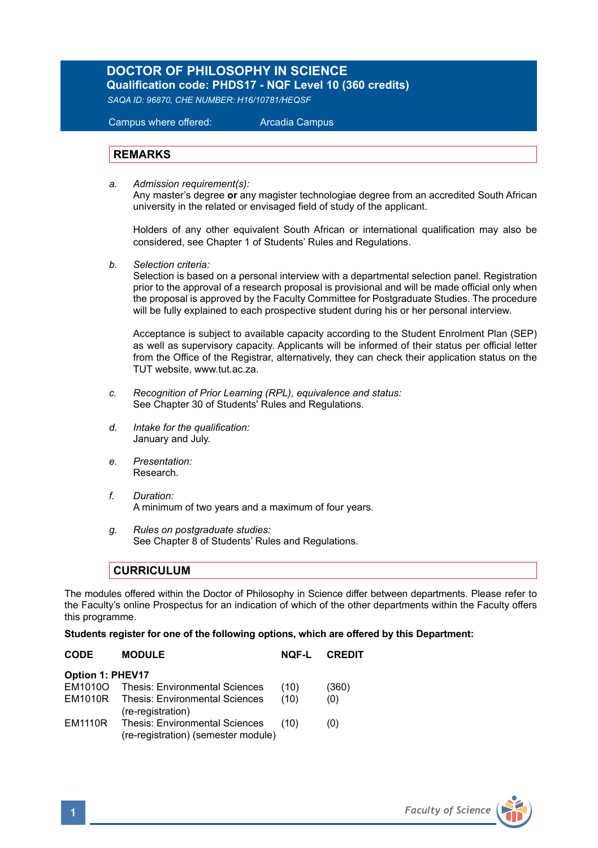# **DOCTOR OF PHILOSOPHY IN SCIENCE**

**Qualification code: PHDS17 - NQF Level 10 (360 credits)** *SAQA ID: 96870, CHE NUMBER: H16/10781/HEQSF*

Campus where offered: Arcadia Campus

#### **REMARKS**

*a. Admission requirement(s):* 

 Any master's degree **or** any magister technologiae degree from an accredited South African university in the related or envisaged field of study of the applicant.

Holders of any other equivalent South African or international qualification may also be considered, see Chapter 1 of Students' Rules and Regulations.

*b. Selection criteria:*

Selection is based on a personal interview with a departmental selection panel. Registration prior to the approval of a research proposal is provisional and will be made official only when the proposal is approved by the Faculty Committee for Postgraduate Studies. The procedure will be fully explained to each prospective student during his or her personal interview.

Acceptance is subject to available capacity according to the Student Enrolment Plan (SEP) as well as supervisory capacity. Applicants will be informed of their status per official letter from the Office of the Registrar, alternatively, they can check their application status on the TUT website, www.tut.ac.za.

- *c. Recognition of Prior Learning (RPL), equivalence and status:* See Chapter 30 of Students' Rules and Regulations.
- *d. Intake for the qualification:* January and July.
- *e. Presentation:*  Research.
- *f. Duration:* A minimum of two years and a maximum of four years.
- *g. Rules on postgraduate studies:* See Chapter 8 of Students' Rules and Regulations.

### **CURRICULUM**

The modules offered within the Doctor of Philosophy in Science differ between departments. Please refer to the Faculty's online Prospectus for an indication of which of the other departments within the Faculty offers this programme.

#### **Students register for one of the following options, which are offered by this Department:**

| <b>CODE</b>             | <b>MODULE</b>                                                                | NOF-L | <b>CREDIT</b> |  |
|-------------------------|------------------------------------------------------------------------------|-------|---------------|--|
| <b>Option 1: PHEV17</b> |                                                                              |       |               |  |
| EM1010O                 | Thesis: Environmental Sciences                                               | (10)  | (360)         |  |
| EM1010R                 | <b>Thesis: Environmental Sciences</b><br>(re-registration)                   | (10)  | (0)           |  |
| <b>EM1110R</b>          | <b>Thesis: Environmental Sciences</b><br>(re-registration) (semester module) | (10)  | (0)           |  |